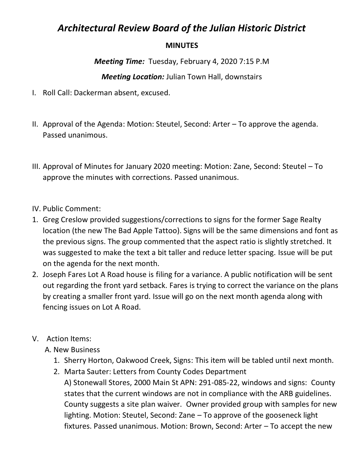## *Architectural Review Board of the Julian Historic District*

## **MINUTES**

*Meeting Time:* Tuesday, February 4, 2020 7:15 P.M

## *Meeting Location:* Julian Town Hall, downstairs

- I. Roll Call: Dackerman absent, excused.
- II. Approval of the Agenda: Motion: Steutel, Second: Arter To approve the agenda. Passed unanimous.
- III. Approval of Minutes for January 2020 meeting: Motion: Zane, Second: Steutel To approve the minutes with corrections. Passed unanimous.
- IV. Public Comment:
- 1. Greg Creslow provided suggestions/corrections to signs for the former Sage Realty location (the new The Bad Apple Tattoo). Signs will be the same dimensions and font as the previous signs. The group commented that the aspect ratio is slightly stretched. It was suggested to make the text a bit taller and reduce letter spacing. Issue will be put on the agenda for the next month.
- 2. Joseph Fares Lot A Road house is filing for a variance. A public notification will be sent out regarding the front yard setback. Fares is trying to correct the variance on the plans by creating a smaller front yard. Issue will go on the next month agenda along with fencing issues on Lot A Road.
- V. Action Items:
	- A. New Business
		- 1. Sherry Horton, Oakwood Creek, Signs: This item will be tabled until next month.
		- 2. Marta Sauter: Letters from County Codes Department A) Stonewall Stores, 2000 Main St APN: 291-085-22, windows and signs: County states that the current windows are not in compliance with the ARB guidelines. County suggests a site plan waiver. Owner provided group with samples for new lighting. Motion: Steutel, Second: Zane – To approve of the gooseneck light fixtures. Passed unanimous. Motion: Brown, Second: Arter – To accept the new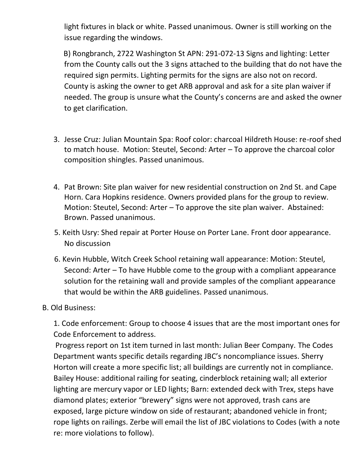light fixtures in black or white. Passed unanimous. Owner is still working on the issue regarding the windows.

 B) Rongbranch, 2722 Washington St APN: 291-072-13 Signs and lighting: Letter from the County calls out the 3 signs attached to the building that do not have the required sign permits. Lighting permits for the signs are also not on record. County is asking the owner to get ARB approval and ask for a site plan waiver if needed. The group is unsure what the County's concerns are and asked the owner to get clarification.

- 3. Jesse Cruz: Julian Mountain Spa: Roof color: charcoal Hildreth House: re-roof shed to match house. Motion: Steutel, Second: Arter – To approve the charcoal color composition shingles. Passed unanimous.
- 4. Pat Brown: Site plan waiver for new residential construction on 2nd St. and Cape Horn. Cara Hopkins residence. Owners provided plans for the group to review. Motion: Steutel, Second: Arter – To approve the site plan waiver. Abstained: Brown. Passed unanimous.
- 5. Keith Usry: Shed repair at Porter House on Porter Lane. Front door appearance. No discussion
- 6. Kevin Hubble, Witch Creek School retaining wall appearance: Motion: Steutel, Second: Arter – To have Hubble come to the group with a compliant appearance solution for the retaining wall and provide samples of the compliant appearance that would be within the ARB guidelines. Passed unanimous.
- B. Old Business:

1. Code enforcement: Group to choose 4 issues that are the most important ones for Code Enforcement to address.

Progress report on 1st item turned in last month: Julian Beer Company. The Codes Department wants specific details regarding JBC's noncompliance issues. Sherry Horton will create a more specific list; all buildings are currently not in compliance. Bailey House: additional railing for seating, cinderblock retaining wall; all exterior lighting are mercury vapor or LED lights; Barn: extended deck with Trex, steps have diamond plates; exterior "brewery" signs were not approved, trash cans are exposed, large picture window on side of restaurant; abandoned vehicle in front; rope lights on railings. Zerbe will email the list of JBC violations to Codes (with a note re: more violations to follow).